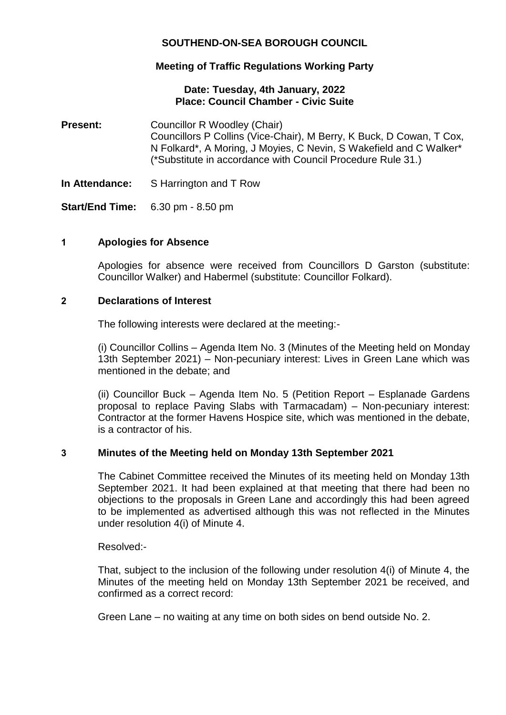# **SOUTHEND-ON-SEA BOROUGH COUNCIL**

# **Meeting of Traffic Regulations Working Party**

## **Date: Tuesday, 4th January, 2022 Place: Council Chamber - Civic Suite**

- **Present:** Councillor R Woodley (Chair) Councillors P Collins (Vice-Chair), M Berry, K Buck, D Cowan, T Cox, N Folkard\*, A Moring, J Moyies, C Nevin, S Wakefield and C Walker\* (\*Substitute in accordance with Council Procedure Rule 31.)
- **In Attendance:** S Harrington and T Row

**Start/End Time:** 6.30 pm - 8.50 pm

## **1 Apologies for Absence**

Apologies for absence were received from Councillors D Garston (substitute: Councillor Walker) and Habermel (substitute: Councillor Folkard).

## **2 Declarations of Interest**

The following interests were declared at the meeting:-

(i) Councillor Collins – Agenda Item No. 3 (Minutes of the Meeting held on Monday 13th September 2021) – Non-pecuniary interest: Lives in Green Lane which was mentioned in the debate; and

(ii) Councillor Buck – Agenda Item No. 5 (Petition Report – Esplanade Gardens proposal to replace Paving Slabs with Tarmacadam) – Non-pecuniary interest: Contractor at the former Havens Hospice site, which was mentioned in the debate, is a contractor of his.

## **3 Minutes of the Meeting held on Monday 13th September 2021**

The Cabinet Committee received the Minutes of its meeting held on Monday 13th September 2021. It had been explained at that meeting that there had been no objections to the proposals in Green Lane and accordingly this had been agreed to be implemented as advertised although this was not reflected in the Minutes under resolution 4(i) of Minute 4.

Resolved:-

That, subject to the inclusion of the following under resolution 4(i) of Minute 4, the Minutes of the meeting held on Monday 13th September 2021 be received, and confirmed as a correct record:

Green Lane – no waiting at any time on both sides on bend outside No. 2.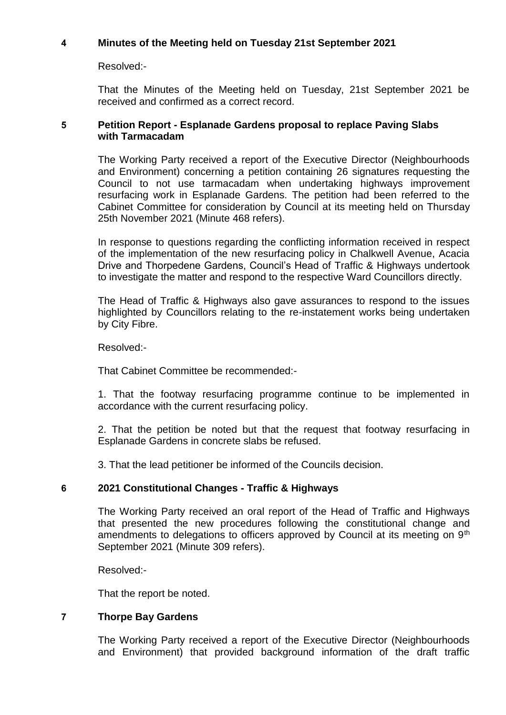## **4 Minutes of the Meeting held on Tuesday 21st September 2021**

Resolved:-

That the Minutes of the Meeting held on Tuesday, 21st September 2021 be received and confirmed as a correct record.

## **5 Petition Report - Esplanade Gardens proposal to replace Paving Slabs with Tarmacadam**

The Working Party received a report of the Executive Director (Neighbourhoods and Environment) concerning a petition containing 26 signatures requesting the Council to not use tarmacadam when undertaking highways improvement resurfacing work in Esplanade Gardens. The petition had been referred to the Cabinet Committee for consideration by Council at its meeting held on Thursday 25th November 2021 (Minute 468 refers).

In response to questions regarding the conflicting information received in respect of the implementation of the new resurfacing policy in Chalkwell Avenue, Acacia Drive and Thorpedene Gardens, Council's Head of Traffic & Highways undertook to investigate the matter and respond to the respective Ward Councillors directly.

The Head of Traffic & Highways also gave assurances to respond to the issues highlighted by Councillors relating to the re-instatement works being undertaken by City Fibre.

Resolved:-

That Cabinet Committee be recommended:-

1. That the footway resurfacing programme continue to be implemented in accordance with the current resurfacing policy.

2. That the petition be noted but that the request that footway resurfacing in Esplanade Gardens in concrete slabs be refused.

3. That the lead petitioner be informed of the Councils decision.

## **6 2021 Constitutional Changes - Traffic & Highways**

The Working Party received an oral report of the Head of Traffic and Highways that presented the new procedures following the constitutional change and amendments to delegations to officers approved by Council at its meeting on 9<sup>th</sup> September 2021 (Minute 309 refers).

Resolved:-

That the report be noted.

## **7 Thorpe Bay Gardens**

The Working Party received a report of the Executive Director (Neighbourhoods and Environment) that provided background information of the draft traffic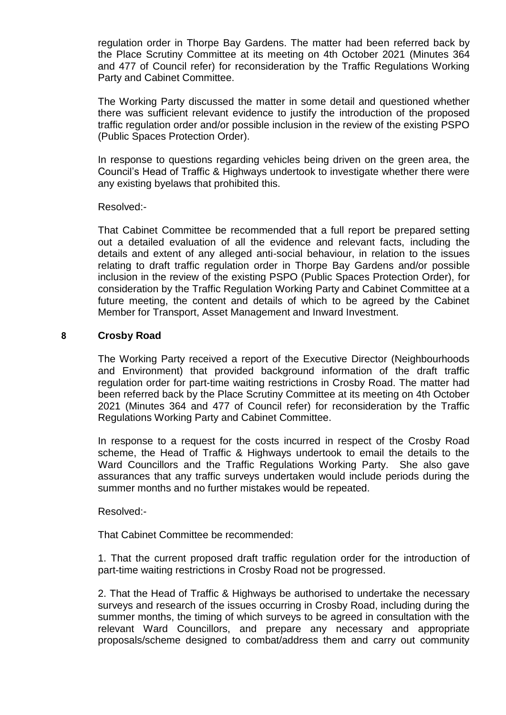regulation order in Thorpe Bay Gardens. The matter had been referred back by the Place Scrutiny Committee at its meeting on 4th October 2021 (Minutes 364 and 477 of Council refer) for reconsideration by the Traffic Regulations Working Party and Cabinet Committee.

The Working Party discussed the matter in some detail and questioned whether there was sufficient relevant evidence to justify the introduction of the proposed traffic regulation order and/or possible inclusion in the review of the existing PSPO (Public Spaces Protection Order).

In response to questions regarding vehicles being driven on the green area, the Council's Head of Traffic & Highways undertook to investigate whether there were any existing byelaws that prohibited this.

### Resolved:-

That Cabinet Committee be recommended that a full report be prepared setting out a detailed evaluation of all the evidence and relevant facts, including the details and extent of any alleged anti-social behaviour, in relation to the issues relating to draft traffic regulation order in Thorpe Bay Gardens and/or possible inclusion in the review of the existing PSPO (Public Spaces Protection Order), for consideration by the Traffic Regulation Working Party and Cabinet Committee at a future meeting, the content and details of which to be agreed by the Cabinet Member for Transport, Asset Management and Inward Investment.

### **8 Crosby Road**

The Working Party received a report of the Executive Director (Neighbourhoods and Environment) that provided background information of the draft traffic regulation order for part-time waiting restrictions in Crosby Road. The matter had been referred back by the Place Scrutiny Committee at its meeting on 4th October 2021 (Minutes 364 and 477 of Council refer) for reconsideration by the Traffic Regulations Working Party and Cabinet Committee.

In response to a request for the costs incurred in respect of the Crosby Road scheme, the Head of Traffic & Highways undertook to email the details to the Ward Councillors and the Traffic Regulations Working Party. She also gave assurances that any traffic surveys undertaken would include periods during the summer months and no further mistakes would be repeated.

Resolved:-

That Cabinet Committee be recommended:

1. That the current proposed draft traffic regulation order for the introduction of part-time waiting restrictions in Crosby Road not be progressed.

2. That the Head of Traffic & Highways be authorised to undertake the necessary surveys and research of the issues occurring in Crosby Road, including during the summer months, the timing of which surveys to be agreed in consultation with the relevant Ward Councillors, and prepare any necessary and appropriate proposals/scheme designed to combat/address them and carry out community